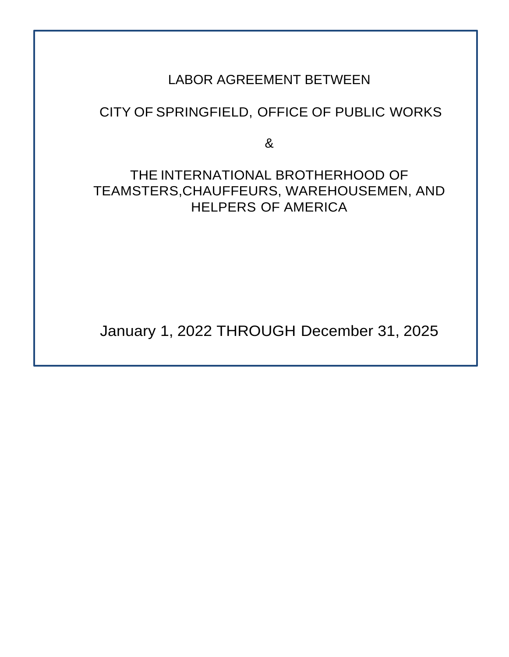# LABOR AGREEMENT BETWEEN

# CITY OF SPRINGFIELD, OFFICE OF PUBLIC WORKS

&

# THE INTERNATIONAL BROTHERHOOD OF TEAMSTERS,CHAUFFEURS, WAREHOUSEMEN, AND HELPERS OF AMERICA

January 1, 2022 THROUGH December 31, 2025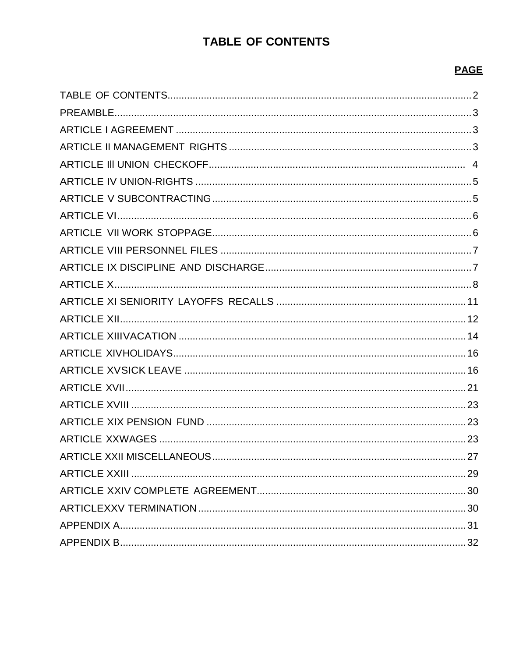# **TABLE OF CONTENTS**

# **PAGE**

<span id="page-1-0"></span>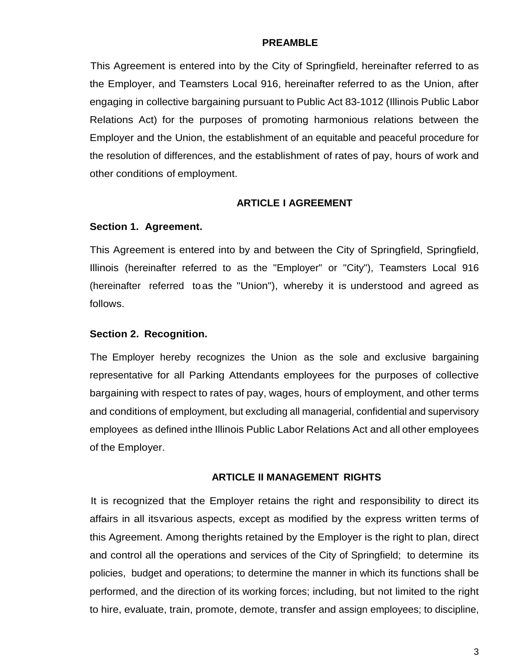#### **PREAMBLE**

<span id="page-2-0"></span>This Agreement is entered into by the City of Springfield, hereinafter referred to as the Employer, and Teamsters Local 916, hereinafter referred to as the Union, after engaging in collective bargaining pursuant to Public Act 83-1012 (Illinois Public Labor Relations Act) for the purposes of promoting harmonious relations between the Employer and the Union, the establishment of an equitable and peaceful procedure for the resolution of differences, and the establishment of rates of pay, hours of work and other conditions of employment.

#### **ARTICLE I AGREEMENT**

#### <span id="page-2-1"></span>**Section 1. Agreement.**

This Agreement is entered into by and between the City of Springfield, Springfield, Illinois (hereinafter referred to as the "Employer" or "City"), Teamsters Local 916 (hereinafter referred toas the "Union"), whereby it is understood and agreed as follows.

#### **Section 2. Recognition.**

The Employer hereby recognizes the Union as the sole and exclusive bargaining representative for all Parking Attendants employees for the purposes of collective bargaining with respect to rates of pay, wages, hours of employment, and other terms and conditions of employment, but excluding all managerial, confidential and supervisory employees as defined inthe Illinois Public Labor Relations Act and all other employees of the Employer.

#### **ARTICLE II MANAGEMENT RIGHTS**

<span id="page-2-2"></span>It is recognized that the Employer retains the right and responsibility to direct its affairs in all itsvarious aspects, except as modified by the express written terms of this Agreement. Among therights retained by the Employer is the right to plan, direct and control all the operations and services of the City of Springfield; to determine its policies, budget and operations; to determine the manner in which its functions shall be performed, and the direction of its working forces; including, but not limited to the right to hire, evaluate, train, promote, demote, transfer and assign employees; to discipline,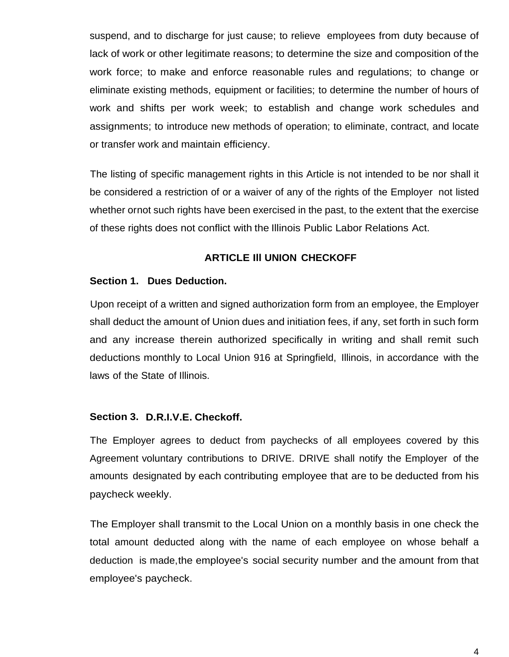suspend, and to discharge for just cause; to relieve employees from duty because of lack of work or other legitimate reasons; to determine the size and composition of the work force; to make and enforce reasonable rules and regulations; to change or eliminate existing methods, equipment or facilities; to determine the number of hours of work and shifts per work week; to establish and change work schedules and assignments; to introduce new methods of operation; to eliminate, contract, and locate or transfer work and maintain efficiency.

The listing of specific management rights in this Article is not intended to be nor shall it be considered a restriction of or a waiver of any of the rights of the Employer not listed whether ornot such rights have been exercised in the past, to the extent that the exercise of these rights does not conflict with the Illinois Public Labor Relations Act.

#### **ARTICLE Ill UNION CHECKOFF**

#### <span id="page-3-0"></span>**Section 1. Dues Deduction.**

Upon receipt of a written and signed authorization form from an employee, the Employer shall deduct the amount of Union dues and initiation fees, if any, set forth in such form and any increase therein authorized specifically in writing and shall remit such deductions monthly to Local Union 916 at Springfield, Illinois, in accordance with the laws of the State of Illinois.

#### **Section 3. D.R.I.V.E. Checkoff.**

The Employer agrees to deduct from paychecks of all employees covered by this Agreement voluntary contributions to DRIVE. DRIVE shall notify the Employer of the amounts designated by each contributing employee that are to be deducted from his paycheck weekly.

The Employer shall transmit to the Local Union on a monthly basis in one check the total amount deducted along with the name of each employee on whose behalf a deduction is made,the employee's social security number and the amount from that employee's paycheck.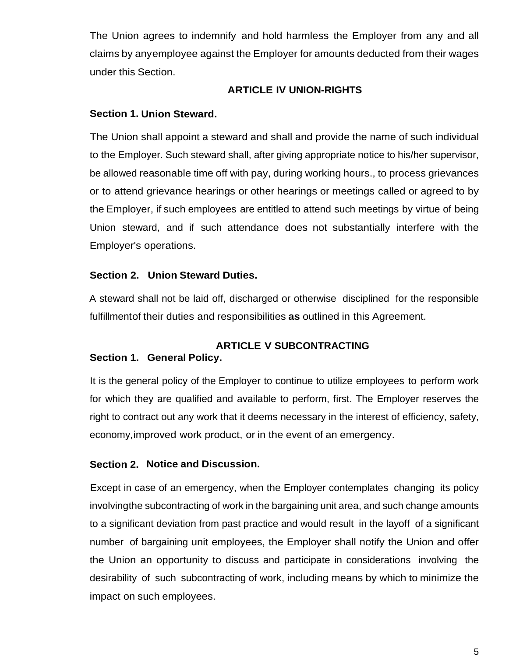The Union agrees to indemnify and hold harmless the Employer from any and all claims by anyemployee against the Employer for amounts deducted from their wages under this Section.

## **ARTICLE IV UNION-RIGHTS**

## <span id="page-4-0"></span>**Section 1. Union Steward.**

The Union shall appoint a steward and shall and provide the name of such individual to the Employer. Such steward shall, after giving appropriate notice to his/her supervisor, be allowed reasonable time off with pay, during working hours., to process grievances or to attend grievance hearings or other hearings or meetings called or agreed to by the Employer, if such employees are entitled to attend such meetings by virtue of being Union steward, and if such attendance does not substantially interfere with the Employer's operations.

## **Section 2. Union Steward Duties.**

A steward shall not be laid off, discharged or otherwise disciplined for the responsible fulfillmentof their duties and responsibilities **as** outlined in this Agreement.

# <span id="page-4-1"></span>**ARTICLE V SUBCONTRACTING Section 1. General Policy.**

It is the general policy of the Employer to continue to utilize employees to perform work for which they are qualified and available to perform, first. The Employer reserves the right to contract out any work that it deems necessary in the interest of efficiency, safety, economy,improved work product, or in the event of an emergency.

#### **Section 2. Notice and Discussion.**

Except in case of an emergency, when the Employer contemplates changing its policy involvingthe subcontracting of work in the bargaining unit area, and such change amounts to a significant deviation from past practice and would result in the layoff of a significant number of bargaining unit employees, the Employer shall notify the Union and offer the Union an opportunity to discuss and participate in considerations involving the desirability of such subcontracting of work, including means by which to minimize the impact on such employees.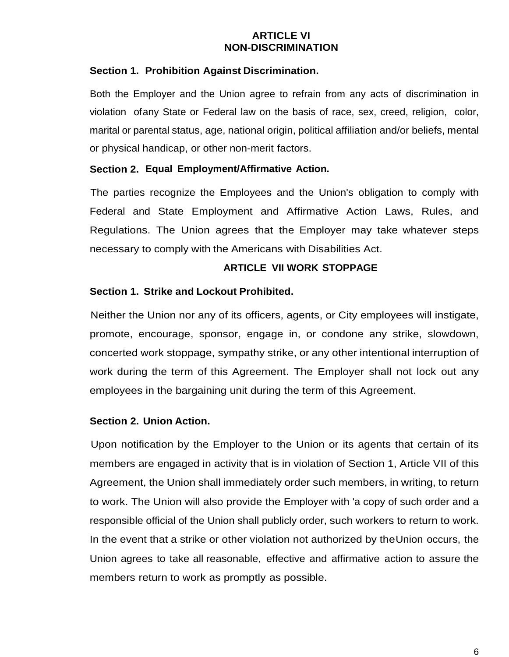#### **ARTICLE VI NON-DISCRIMINATION**

## <span id="page-5-0"></span>**Section 1. Prohibition Against Discrimination.**

Both the Employer and the Union agree to refrain from any acts of discrimination in violation ofany State or Federal law on the basis of race, sex, creed, religion, color, marital or parental status, age, national origin, political affiliation and/or beliefs, mental or physical handicap, or other non-merit factors.

## **Section 2. Equal Employment/Affirmative Action.**

The parties recognize the Employees and the Union's obligation to comply with Federal and State Employment and Affirmative Action Laws, Rules, and Regulations. The Union agrees that the Employer may take whatever steps necessary to comply with the Americans with Disabilities Act.

## **ARTICLE VII WORK STOPPAGE**

## <span id="page-5-1"></span>**Section 1. Strike and Lockout Prohibited.**

Neither the Union nor any of its officers, agents, or City employees will instigate, promote, encourage, sponsor, engage in, or condone any strike, slowdown, concerted work stoppage, sympathy strike, or any other intentional interruption of work during the term of this Agreement. The Employer shall not lock out any employees in the bargaining unit during the term of this Agreement.

#### **Section 2. Union Action.**

Upon notification by the Employer to the Union or its agents that certain of its members are engaged in activity that is in violation of Section 1, Article VII of this Agreement, the Union shall immediately order such members, in writing, to return to work. The Union will also provide the Employer with 'a copy of such order and a responsible official of the Union shall publicly order, such workers to return to work. In the event that a strike or other violation not authorized by theUnion occurs, the Union agrees to take all reasonable, effective and affirmative action to assure the members return to work as promptly as possible.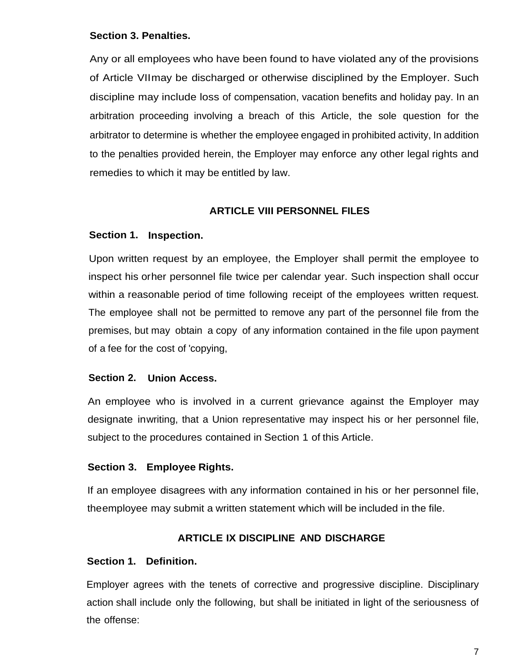#### **Section 3. Penalties.**

Any or all employees who have been found to have violated any of the provisions of Article VIImay be discharged or otherwise disciplined by the Employer. Such discipline may include loss of compensation, vacation benefits and holiday pay. In an arbitration proceeding involving a breach of this Article, the sole question for the arbitrator to determine is whether the employee engaged in prohibited activity, In addition to the penalties provided herein, the Employer may enforce any other legal rights and remedies to which it may be entitled by law.

## **ARTICLE VIII PERSONNEL FILES**

## <span id="page-6-0"></span>**Section 1. Inspection.**

Upon written request by an employee, the Employer shall permit the employee to inspect his orher personnel file twice per calendar year. Such inspection shall occur within a reasonable period of time following receipt of the employees written request. The employee shall not be permitted to remove any part of the personnel file from the premises, but may obtain a copy of any information contained in the file upon payment of a fee for the cost of 'copying,

## **Section 2. Union Access.**

An employee who is involved in a current grievance against the Employer may designate inwriting, that a Union representative may inspect his or her personnel file, subject to the procedures contained in Section 1 of this Article.

#### **Section 3. Employee Rights.**

If an employee disagrees with any information contained in his or her personnel file, theemployee may submit a written statement which will be included in the file.

## **ARTICLE IX DISCIPLINE AND DISCHARGE**

#### <span id="page-6-1"></span>**Section 1. Definition.**

Employer agrees with the tenets of corrective and progressive discipline. Disciplinary action shall include only the following, but shall be initiated in light of the seriousness of the offense: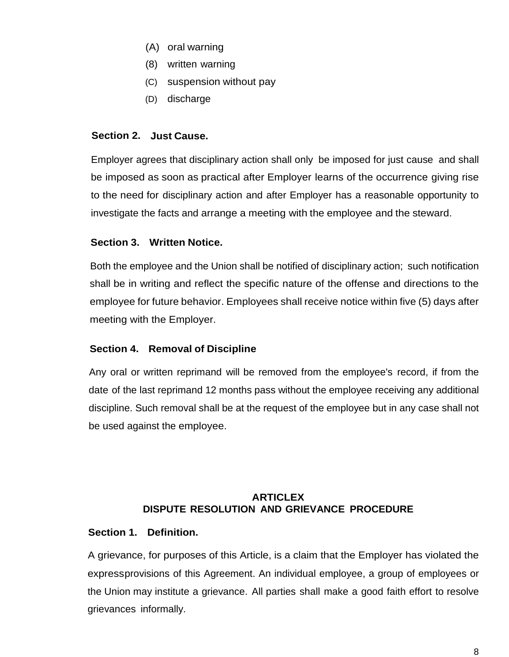- (A) oral warning
- (8) written warning
- (C) suspension without pay
- (D) discharge

## **Section 2. Just Cause.**

Employer agrees that disciplinary action shall only be imposed for just cause and shall be imposed as soon as practical after Employer learns of the occurrence giving rise to the need for disciplinary action and after Employer has a reasonable opportunity to investigate the facts and arrange a meeting with the employee and the steward.

# **Section 3. Written Notice.**

Both the employee and the Union shall be notified of disciplinary action; such notification shall be in writing and reflect the specific nature of the offense and directions to the employee for future behavior. Employees shall receive notice within five (5) days after meeting with the Employer.

## **Section 4. Removal of Discipline**

Any oral or written reprimand will be removed from the employee's record, if from the date of the last reprimand 12 months pass without the employee receiving any additional discipline. Such removal shall be at the request of the employee but in any case shall not be used against the employee.

# **ARTICLEX DISPUTE RESOLUTION AND GRIEVANCE PROCEDURE**

## <span id="page-7-0"></span>**Section 1. Definition.**

A grievance, for purposes of this Article, is a claim that the Employer has violated the expressprovisions of this Agreement. An individual employee, a group of employees or the Union may institute a grievance. All parties shall make a good faith effort to resolve grievances informally.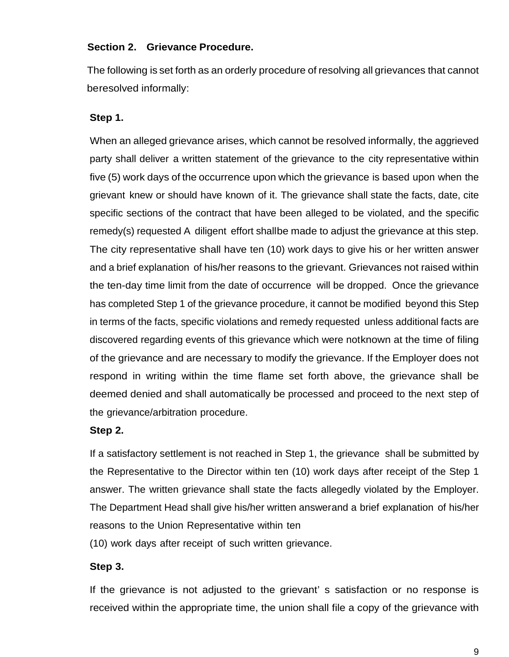#### **Section 2. Grievance Procedure.**

The following is set forth as an orderly procedure of resolving all grievances that cannot beresolved informally:

## **Step 1.**

When an alleged grievance arises, which cannot be resolved informally, the aggrieved party shall deliver a written statement of the grievance to the city representative within five (5) work days of the occurrence upon which the grievance is based upon when the grievant knew or should have known of it. The grievance shall state the facts, date, cite specific sections of the contract that have been alleged to be violated, and the specific remedy(s) requested A diligent effort shallbe made to adjust the grievance at this step. The city representative shall have ten (10) work days to give his or her written answer and a brief explanation of his/her reasons to the grievant. Grievances not raised within the ten-day time limit from the date of occurrence will be dropped. Once the grievance has completed Step 1 of the grievance procedure, it cannot be modified beyond this Step in terms of the facts, specific violations and remedy requested unless additional facts are discovered regarding events of this grievance which were notknown at the time of filing of the grievance and are necessary to modify the grievance. If the Employer does not respond in writing within the time flame set forth above, the grievance shall be deemed denied and shall automatically be processed and proceed to the next step of the grievance/arbitration procedure.

#### **Step 2.**

If a satisfactory settlement is not reached in Step 1, the grievance shall be submitted by the Representative to the Director within ten (10) work days after receipt of the Step 1 answer. The written grievance shall state the facts allegedly violated by the Employer. The Department Head shall give his/her written answerand a brief explanation of his/her reasons to the Union Representative within ten

(10) work days after receipt of such written grievance.

## **Step 3.**

If the grievance is not adjusted to the grievant' s satisfaction or no response is received within the appropriate time, the union shall file a copy of the grievance with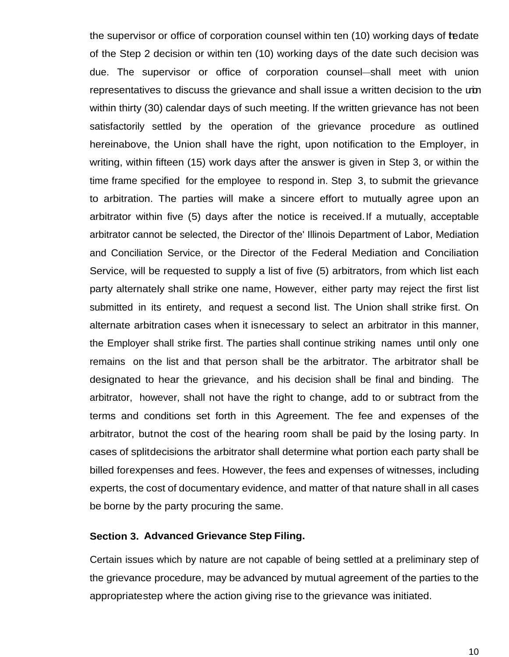the supervisor or office of corporation counsel within ten (10) working days of tedate of the Step 2 decision or within ten (10) working days of the date such decision was due. The supervisor or office of corporation counsel—shall meet with union representatives to discuss the grievance and shall issue a written decision to the um within thirty (30) calendar days of such meeting. lf the written grievance has not been satisfactorily settled by the operation of the grievance procedure as outlined hereinabove, the Union shall have the right, upon notification to the Employer, in writing, within fifteen (15) work days after the answer is given in Step 3, or within the time frame specified for the employee to respond in. Step 3, to submit the grievance to arbitration. The parties will make a sincere effort to mutually agree upon an arbitrator within five (5) days after the notice is received.If a mutually, acceptable arbitrator cannot be selected, the Director of the' Illinois Department of Labor, Mediation and Conciliation Service, or the Director of the Federal Mediation and Conciliation Service, will be requested to supply a list of five (5) arbitrators, from which list each party alternately shall strike one name, However, either party may reject the first list submitted in its entirety, and request a second list. The Union shall strike first. On alternate arbitration cases when it isnecessary to select an arbitrator in this manner, the Employer shall strike first. The parties shall continue striking names until only one remains on the list and that person shall be the arbitrator. The arbitrator shall be designated to hear the grievance, and his decision shall be final and binding. The arbitrator, however, shall not have the right to change, add to or subtract from the terms and conditions set forth in this Agreement. The fee and expenses of the arbitrator, butnot the cost of the hearing room shall be paid by the losing party. In cases of splitdecisions the arbitrator shall determine what portion each party shall be billed forexpenses and fees. However, the fees and expenses of witnesses, including experts, the cost of documentary evidence, and matter of that nature shall in all cases be borne by the party procuring the same.

#### **Section 3. Advanced Grievance Step Filing.**

Certain issues which by nature are not capable of being settled at a preliminary step of the grievance procedure, may be advanced by mutual agreement of the parties to the appropriatestep where the action giving rise to the grievance was initiated.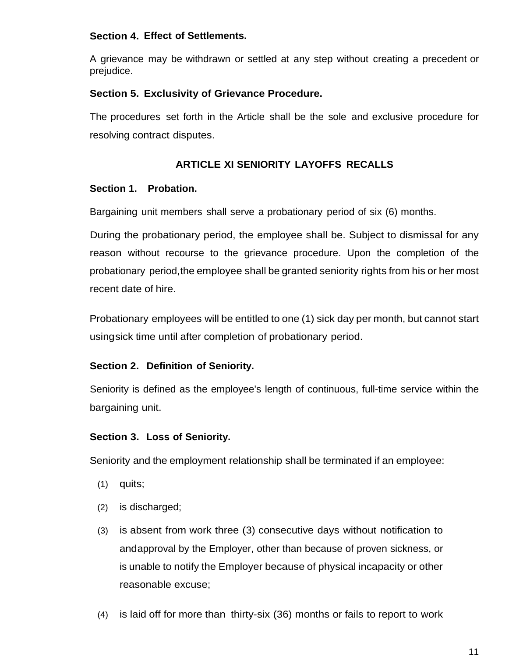## **Section 4. Effect of Settlements.**

A grievance may be withdrawn or settled at any step without creating a precedent or prejudice.

## **Section 5. Exclusivity of Grievance Procedure.**

The procedures set forth in the Article shall be the sole and exclusive procedure for resolving contract disputes.

# **ARTICLE XI SENIORITY LAYOFFS RECALLS**

## <span id="page-10-0"></span>**Section 1. Probation.**

Bargaining unit members shall serve a probationary period of six (6) months.

During the probationary period, the employee shall be. Subject to dismissal for any reason without recourse to the grievance procedure. Upon the completion of the probationary period,the employee shall be granted seniority rights from his or her most recent date of hire.

Probationary employees will be entitled to one (1) sick day per month, but cannot start usingsick time until after completion of probationary period.

## **Section 2. Definition of Seniority.**

Seniority is defined as the employee's length of continuous, full-time service within the bargaining unit.

#### **Section 3. Loss of Seniority.**

Seniority and the employment relationship shall be terminated if an employee:

- (1) quits;
- (2) is discharged;
- (3) is absent from work three (3) consecutive days without notification to andapproval by the Employer, other than because of proven sickness, or is unable to notify the Employer because of physical incapacity or other reasonable excuse;
- (4) is laid off for more than thirty-six (36) months or fails to report to work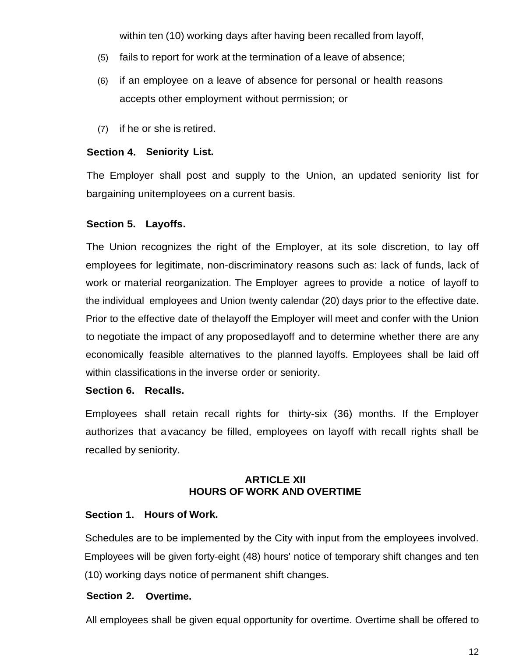within ten (10) working days after having been recalled from layoff,

- (5) fails to report for work at the termination of a leave of absence;
- (6) if an employee on a leave of absence for personal or health reasons accepts other employment without permission; or
- (7) if he or she is retired.

#### **Section 4. Seniority List.**

The Employer shall post and supply to the Union, an updated seniority list for bargaining unitemployees on a current basis.

## **Section 5. Layoffs.**

The Union recognizes the right of the Employer, at its sole discretion, to lay off employees for legitimate, non-discriminatory reasons such as: lack of funds, lack of work or material reorganization. The Employer agrees to provide a notice of layoff to the individual employees and Union twenty calendar (20) days prior to the effective date. Prior to the effective date of thelayoff the Employer will meet and confer with the Union to negotiate the impact of any proposedlayoff and to determine whether there are any economically feasible alternatives to the planned layoffs. Employees shall be laid off within classifications in the inverse order or seniority.

#### **Section 6. Recalls.**

Employees shall retain recall rights for thirty-six (36) months. If the Employer authorizes that avacancy be filled, employees on layoff with recall rights shall be recalled by seniority.

## **ARTICLE XII HOURS OF WORK AND OVERTIME**

## <span id="page-11-0"></span>**Section 1. Hours of Work.**

Schedules are to be implemented by the City with input from the employees involved. Employees will be given forty-eight (48) hours' notice of temporary shift changes and ten (10) working days notice of permanent shift changes.

## **Section 2. Overtime.**

All employees shall be given equal opportunity for overtime. Overtime shall be offered to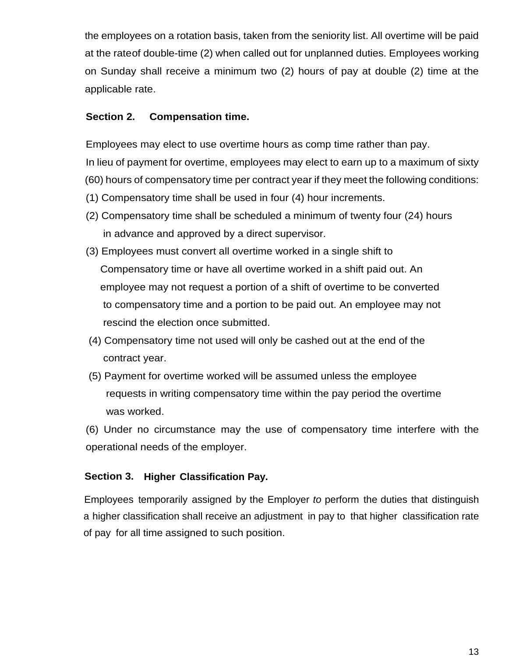the employees on a rotation basis, taken from the seniority list. All overtime will be paid at the rateof double-time (2) when called out for unplanned duties. Employees working on Sunday shall receive a minimum two (2) hours of pay at double (2) time at the applicable rate.

## **Section 2. Compensation time.**

Employees may elect to use overtime hours as comp time rather than pay.

In lieu of payment for overtime, employees may elect to earn up to a maximum of sixty (60) hours of compensatory time per contract year if they meet the following conditions:

- (1) Compensatory time shall be used in four (4) hour increments.
- (2) Compensatory time shall be scheduled a minimum of twenty four (24) hours in advance and approved by a direct supervisor.
- (3) Employees must convert all overtime worked in a single shift to Compensatory time or have all overtime worked in a shift paid out. An employee may not request a portion of a shift of overtime to be converted to compensatory time and a portion to be paid out. An employee may not rescind the election once submitted.
- (4) Compensatory time not used will only be cashed out at the end of the contract year.
- (5) Payment for overtime worked will be assumed unless the employee requests in writing compensatory time within the pay period the overtime was worked.

(6) Under no circumstance may the use of compensatory time interfere with the operational needs of the employer.

# **Section 3. Higher Classification Pay.**

Employees temporarily assigned by the Employer *to* perform the duties that distinguish a higher classification shall receive an adjustment in pay to that higher classification rate of pay for all time assigned to such position.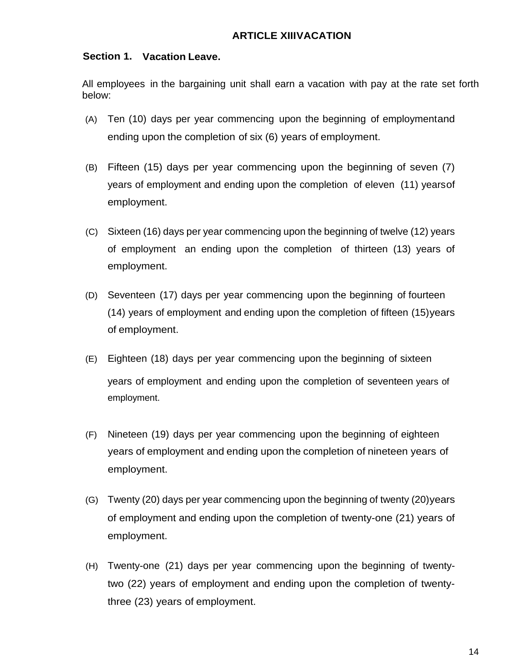## <span id="page-13-0"></span>**Section 1. Vacation Leave.**

All employees in the bargaining unit shall earn a vacation with pay at the rate set forth below:

- (A) Ten (10) days per year commencing upon the beginning of employmentand ending upon the completion of six (6) years of employment.
- (B) Fifteen (15) days per year commencing upon the beginning of seven (7) years of employment and ending upon the completion of eleven (11) yearsof employment.
- (C) Sixteen (16) days per year commencing upon the beginning of twelve (12) years of employment an ending upon the completion of thirteen (13) years of employment.
- (D) Seventeen (17) days per year commencing upon the beginning of fourteen (14) years of employment and ending upon the completion of fifteen (15)years of employment.
- (E) Eighteen (18) days per year commencing upon the beginning of sixteen years of employment and ending upon the completion of seventeen years of employment.
- (F) Nineteen (19) days per year commencing upon the beginning of eighteen years of employment and ending upon the completion of nineteen years of employment.
- (G) Twenty (20) days per year commencing upon the beginning of twenty (20)years of employment and ending upon the completion of twenty-one (21) years of employment.
- (H) Twenty-one (21) days per year commencing upon the beginning of twentytwo (22) years of employment and ending upon the completion of twentythree (23) years of employment.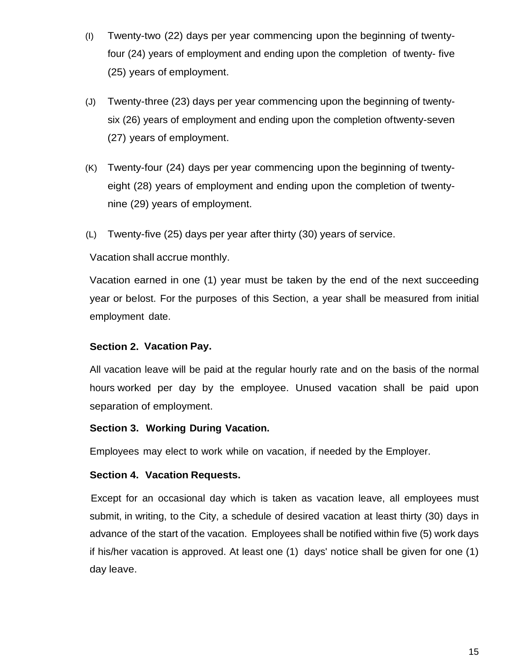- (I) Twenty-two (22) days per year commencing upon the beginning of twentyfour (24) years of employment and ending upon the completion of twenty- five (25) years of employment.
- (J) Twenty-three (23) days per year commencing upon the beginning of twentysix (26) years of employment and ending upon the completion oftwenty-seven (27) years of employment.
- (K) Twenty-four (24) days per year commencing upon the beginning of twentyeight (28) years of employment and ending upon the completion of twentynine (29) years of employment.
- (L) Twenty-five (25) days per year after thirty (30) years of service.

Vacation shall accrue monthly.

Vacation earned in one (1) year must be taken by the end of the next succeeding year or belost. For the purposes of this Section, a year shall be measured from initial employment date.

#### **Section 2. Vacation Pay.**

All vacation leave will be paid at the regular hourly rate and on the basis of the normal hours worked per day by the employee. Unused vacation shall be paid upon separation of employment.

#### **Section 3. Working During Vacation.**

Employees may elect to work while on vacation, if needed by the Employer.

#### **Section 4. Vacation Requests.**

<span id="page-14-0"></span>Except for an occasional day which is taken as vacation leave, all employees must submit, in writing, to the City, a schedule of desired vacation at least thirty (30) days in advance of the start of the vacation. Employees shall be notified within five (5) work days if his/her vacation is approved. At least one (1) days' notice shall be given for one (1) day leave.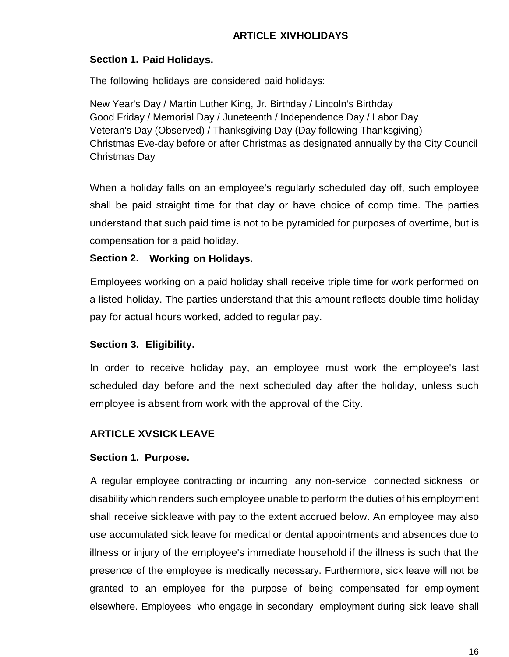# **ARTICLE XIVHOLIDAYS**

#### **Section 1. Paid Holidays.**

The following holidays are considered paid holidays:

New Year's Day / Martin Luther King, Jr. Birthday / Lincoln's Birthday Good Friday / Memorial Day / Juneteenth / Independence Day / Labor Day Veteran's Day (Observed) / Thanksgiving Day (Day following Thanksgiving) Christmas Eve-day before or after Christmas as designated annually by the City Council Christmas Day

When a holiday falls on an employee's regularly scheduled day off, such employee shall be paid straight time for that day or have choice of comp time. The parties understand that such paid time is not to be pyramided for purposes of overtime, but is compensation for a paid holiday.

## **Section 2. Working on Holidays.**

Employees working on a paid holiday shall receive triple time for work performed on a listed holiday. The parties understand that this amount reflects double time holiday pay for actual hours worked, added to regular pay.

## **Section 3. Eligibility.**

In order to receive holiday pay, an employee must work the employee's last scheduled day before and the next scheduled day after the holiday, unless such employee is absent from work with the approval of the City.

# <span id="page-15-0"></span>**ARTICLE XVSICK LEAVE**

## **Section 1. Purpose.**

A regular employee contracting or incurring any non-service connected sickness or disability which renders such employee unable to perform the duties of his employment shall receive sickleave with pay to the extent accrued below. An employee may also use accumulated sick leave for medical or dental appointments and absences due to illness or injury of the employee's immediate household if the illness is such that the presence of the employee is medically necessary. Furthermore, sick leave will not be granted to an employee for the purpose of being compensated for employment elsewhere. Employees who engage in secondary employment during sick leave shall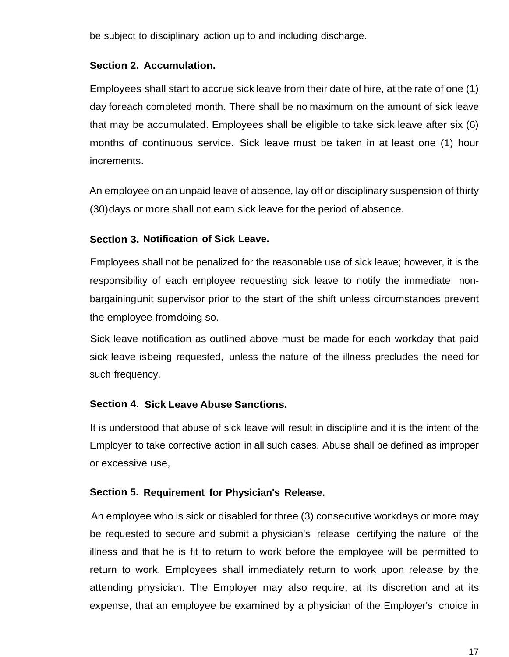be subject to disciplinary action up to and including discharge.

## **Section 2. Accumulation.**

Employees shall start to accrue sick leave from their date of hire, at the rate of one (1) day foreach completed month. There shall be no maximum on the amount of sick leave that may be accumulated. Employees shall be eligible to take sick leave after six (6) months of continuous service. Sick leave must be taken in at least one (1) hour increments.

An employee on an unpaid leave of absence, lay off or disciplinary suspension of thirty (30)days or more shall not earn sick leave for the period of absence.

## **Section 3. Notification of Sick Leave.**

Employees shall not be penalized for the reasonable use of sick leave; however, it is the responsibility of each employee requesting sick leave to notify the immediate nonbargainingunit supervisor prior to the start of the shift unless circumstances prevent the employee fromdoing so.

Sick leave notification as outlined above must be made for each workday that paid sick leave isbeing requested, unless the nature of the illness precludes the need for such frequency.

## **Section 4. Sick Leave Abuse Sanctions.**

It is understood that abuse of sick leave will result in discipline and it is the intent of the Employer to take corrective action in all such cases. Abuse shall be defined as improper or excessive use,

## **Section 5. Requirement for Physician's Release.**

An employee who is sick or disabled for three (3) consecutive workdays or more may be requested to secure and submit a physician's release certifying the nature of the illness and that he is fit to return to work before the employee will be permitted to return to work. Employees shall immediately return to work upon release by the attending physician. The Employer may also require, at its discretion and at its expense, that an employee be examined by a physician of the Employer's choice in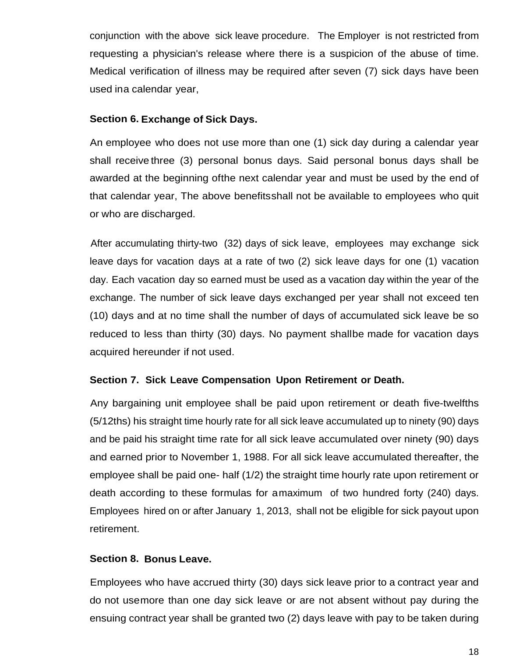conjunction with the above sick leave procedure. The Employer is not restricted from requesting a physician's release where there is a suspicion of the abuse of time. Medical verification of illness may be required after seven (7) sick days have been used ina calendar year,

#### **Section 6. Exchange of Sick Days.**

An employee who does not use more than one (1) sick day during a calendar year shall receive three (3) personal bonus days. Said personal bonus days shall be awarded at the beginning ofthe next calendar year and must be used by the end of that calendar year, The above benefitsshall not be available to employees who quit or who are discharged.

After accumulating thirty-two (32) days of sick leave, employees may exchange sick leave days for vacation days at a rate of two (2) sick leave days for one (1) vacation day. Each vacation day so earned must be used as a vacation day within the year of the exchange. The number of sick leave days exchanged per year shall not exceed ten (10) days and at no time shall the number of days of accumulated sick leave be so reduced to less than thirty (30) days. No payment shallbe made for vacation days acquired hereunder if not used.

## **Section 7. Sick Leave Compensation Upon Retirement or Death.**

Any bargaining unit employee shall be paid upon retirement or death five-twelfths (5/12ths) his straight time hourly rate for all sick leave accumulated up to ninety (90) days and be paid his straight time rate for all sick leave accumulated over ninety (90) days and earned prior to November 1, 1988. For all sick leave accumulated thereafter, the employee shall be paid one- half (1/2) the straight time hourly rate upon retirement or death according to these formulas for amaximum of two hundred forty (240) days. Employees hired on or after January 1, 2013, shall not be eligible for sick payout upon retirement.

#### **Section 8. Bonus Leave.**

Employees who have accrued thirty (30) days sick leave prior to a contract year and do not usemore than one day sick leave or are not absent without pay during the ensuing contract year shall be granted two (2) days leave with pay to be taken during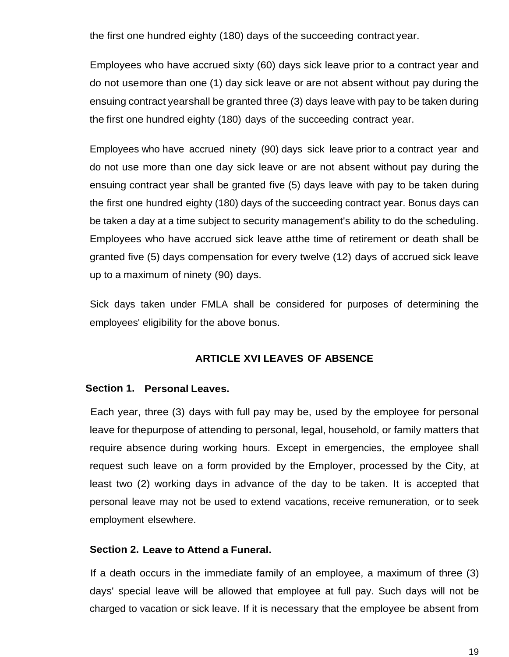the first one hundred eighty (180) days of the succeeding contract year.

Employees who have accrued sixty (60) days sick leave prior to a contract year and do not usemore than one (1) day sick leave or are not absent without pay during the ensuing contract yearshall be granted three (3) days leave with pay to be taken during the first one hundred eighty (180) days of the succeeding contract year.

Employees who have accrued ninety (90) days sick leave prior to a contract year and do not use more than one day sick leave or are not absent without pay during the ensuing contract year shall be granted five (5) days leave with pay to be taken during the first one hundred eighty (180) days of the succeeding contract year. Bonus days can be taken a day at a time subject to security management's ability to do the scheduling. Employees who have accrued sick leave atthe time of retirement or death shall be granted five (5) days compensation for every twelve (12) days of accrued sick leave up to a maximum of ninety (90) days.

Sick days taken under FMLA shall be considered for purposes of determining the employees' eligibility for the above bonus.

#### **ARTICLE XVI LEAVES OF ABSENCE**

#### **Section 1. Personal Leaves.**

Each year, three (3) days with full pay may be, used by the employee for personal leave for thepurpose of attending to personal, legal, household, or family matters that require absence during working hours. Except in emergencies, the employee shall request such leave on a form provided by the Employer, processed by the City, at least two (2) working days in advance of the day to be taken. It is accepted that personal leave may not be used to extend vacations, receive remuneration, or to seek employment elsewhere.

#### **Section 2. Leave to Attend a Funeral.**

If a death occurs in the immediate family of an employee, a maximum of three (3) days' special leave will be allowed that employee at full pay. Such days will not be charged to vacation or sick leave. If it is necessary that the employee be absent from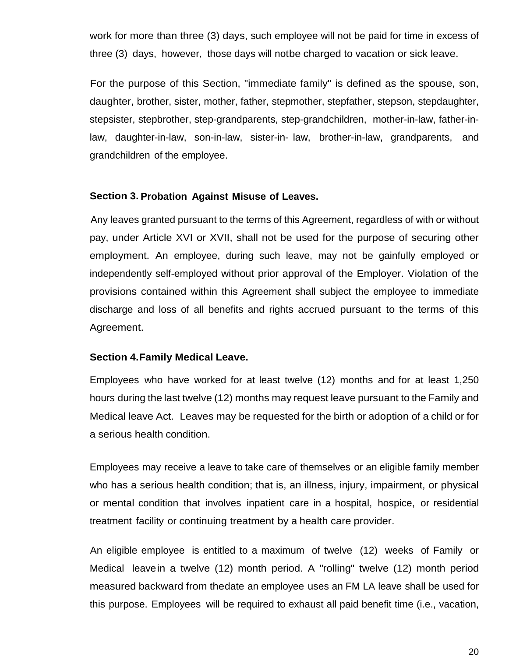work for more than three (3) days, such employee will not be paid for time in excess of three (3) days, however, those days will notbe charged to vacation or sick leave.

For the purpose of this Section, "immediate family" is defined as the spouse, son, daughter, brother, sister, mother, father, stepmother, stepfather, stepson, stepdaughter, stepsister, stepbrother, step-grandparents, step-grandchildren, mother-in-law, father-inlaw, daughter-in-law, son-in-law, sister-in- law, brother-in-law, grandparents, and grandchildren of the employee.

#### **Section 3. Probation Against Misuse of Leaves.**

Any leaves granted pursuant to the terms of this Agreement, regardless of with or without pay, under Article XVI or XVII, shall not be used for the purpose of securing other employment. An employee, during such leave, may not be gainfully employed or independently self-employed without prior approval of the Employer. Violation of the provisions contained within this Agreement shall subject the employee to immediate discharge and loss of all benefits and rights accrued pursuant to the terms of this Agreement.

#### **Section 4.Family Medical Leave.**

Employees who have worked for at least twelve (12) months and for at least 1,250 hours during the last twelve (12) months may request leave pursuant to the Family and Medical leave Act. Leaves may be requested for the birth or adoption of a child or for a serious health condition.

Employees may receive a leave to take care of themselves or an eligible family member who has a serious health condition; that is, an illness, injury, impairment, or physical or mental condition that involves inpatient care in a hospital, hospice, or residential treatment facility or continuing treatment by a health care provider.

An eligible employee is entitled to a maximum of twelve (12) weeks of Family or Medical leavein a twelve (12) month period. A "rolling" twelve (12) month period measured backward from thedate an employee uses an FM LA leave shall be used for this purpose. Employees will be required to exhaust all paid benefit time (i.e., vacation,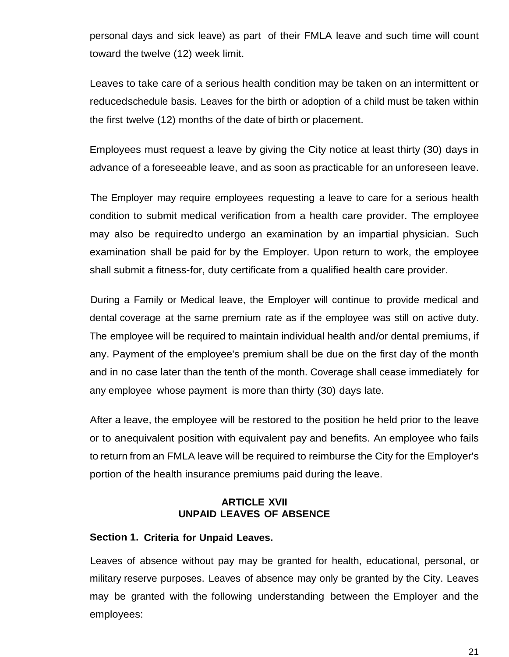personal days and sick leave) as part of their FMLA leave and such time will count toward the twelve (12) week limit.

Leaves to take care of a serious health condition may be taken on an intermittent or reducedschedule basis. Leaves for the birth or adoption of a child must be taken within the first twelve (12) months of the date of birth or placement.

Employees must request a leave by giving the City notice at least thirty (30) days in advance of a foreseeable leave, and as soon as practicable for an unforeseen leave.

The Employer may require employees requesting a leave to care for a serious health condition to submit medical verification from a health care provider. The employee may also be required to undergo an examination by an impartial physician. Such examination shall be paid for by the Employer. Upon return to work, the employee shall submit a fitness-for, duty certificate from a qualified health care provider.

During a Family or Medical leave, the Employer will continue to provide medical and dental coverage at the same premium rate as if the employee was still on active duty. The employee will be required to maintain individual health and/or dental premiums, if any. Payment of the employee's premium shall be due on the first day of the month and in no case later than the tenth of the month. Coverage shall cease immediately for any employee whose payment is more than thirty (30) days late.

After a leave, the employee will be restored to the position he held prior to the leave or to anequivalent position with equivalent pay and benefits. An employee who fails to return from an FMLA leave will be required to reimburse the City for the Employer's portion of the health insurance premiums paid during the leave.

#### **ARTICLE XVII UNPAID LEAVES OF ABSENCE**

#### <span id="page-20-0"></span>**Section 1. Criteria for Unpaid Leaves.**

Leaves of absence without pay may be granted for health, educational, personal, or military reserve purposes. Leaves of absence may only be granted by the City. Leaves may be granted with the following understanding between the Employer and the employees: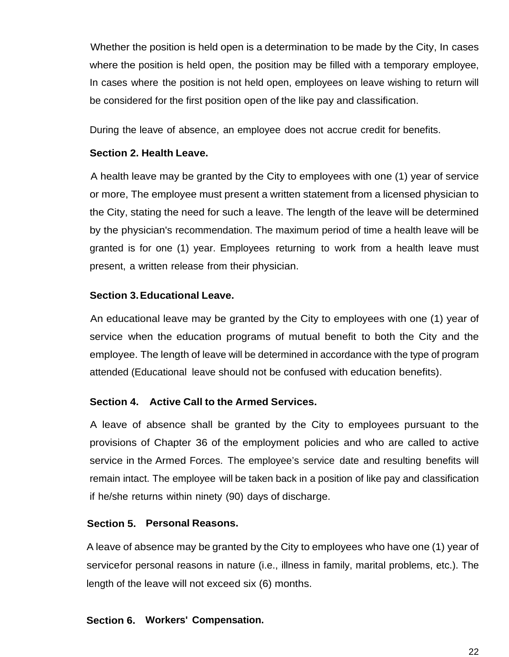Whether the position is held open is a determination to be made by the City, In cases where the position is held open, the position may be filled with a temporary employee, In cases where the position is not held open, employees on leave wishing to return will be considered for the first position open of the like pay and classification.

During the leave of absence, an employee does not accrue credit for benefits.

## **Section 2. Health Leave.**

A health leave may be granted by the City to employees with one (1) year of service or more, The employee must present a written statement from a licensed physician to the City, stating the need for such a leave. The length of the leave will be determined by the physician's recommendation. The maximum period of time a health leave will be granted is for one (1) year. Employees returning to work from a health leave must present, a written release from their physician.

## **Section 3.Educational Leave.**

An educational leave may be granted by the City to employees with one (1) year of service when the education programs of mutual benefit to both the City and the employee. The length of leave will be determined in accordance with the type of program attended (Educational leave should not be confused with education benefits).

## **Section 4. Active Call to the Armed Services.**

A leave of absence shall be granted by the City to employees pursuant to the provisions of Chapter 36 of the employment policies and who are called to active service in the Armed Forces. The employee's service date and resulting benefits will remain intact. The employee will be taken back in a position of like pay and classification if he/she returns within ninety (90) days of discharge.

#### **Section 5. Personal Reasons.**

A leave of absence may be granted by the City to employees who have one (1) year of servicefor personal reasons in nature (i.e., illness in family, marital problems, etc.). The length of the leave will not exceed six (6) months.

#### **Section 6. Workers' Compensation.**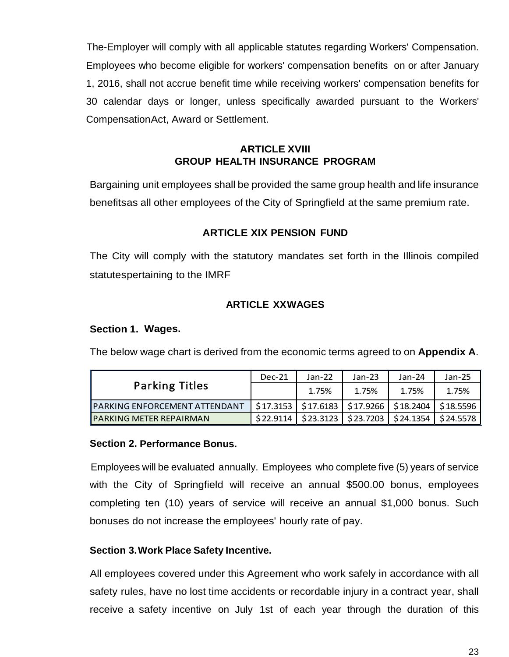The-Employer will comply with all applicable statutes regarding Workers' Compensation. Employees who become eligible for workers' compensation benefits on or after January 1, 2016, shall not accrue benefit time while receiving workers' compensation benefits for 30 calendar days or longer, unless specifically awarded pursuant to the Workers' CompensationAct, Award or Settlement.

## **ARTICLE XVIII GROUP HEALTH INSURANCE PROGRAM**

<span id="page-22-0"></span>Bargaining unit employees shall be provided the same group health and life insurance benefitsas all other employees of the City of Springfield at the same premium rate.

## **ARTICLE XIX PENSION FUND**

<span id="page-22-1"></span>The City will comply with the statutory mandates set forth in the Illinois compiled statutespertaining to the IMRF

## **ARTICLE XXWAGES**

#### <span id="page-22-2"></span>**Section 1. Wages.**

The below wage chart is derived from the economic terms agreed to on **Appendix A**.

|                                       | $Dec-21$  | $Jan-22$ | $Jan-23$                             | $Jan-24$                                                  | $Jan-25$  |
|---------------------------------------|-----------|----------|--------------------------------------|-----------------------------------------------------------|-----------|
| <b>Parking Titles</b>                 |           | 1.75%    | 1.75%                                | 1.75%                                                     | 1.75%     |
| <b>IPARKING ENFORCEMENT ATTENDANT</b> |           |          |                                      | \$17.3153   \$17.6183   \$17.9266   \$18.2404   \$18.5596 |           |
| <b>IPARKING METER REPAIRMAN</b>       | \$22,9114 |          | $$23.3123$   $$23.7203$   $$24.1354$ |                                                           | \$24.5578 |

#### **Section 2. Performance Bonus.**

Employees will be evaluated annually. Employees who complete five (5) years of service with the City of Springfield will receive an annual \$500.00 bonus, employees completing ten (10) years of service will receive an annual \$1,000 bonus. Such bonuses do not increase the employees' hourly rate of pay.

## **Section 3.Work Place Safety Incentive.**

All employees covered under this Agreement who work safely in accordance with all safety rules, have no lost time accidents or recordable injury in a contract year, shall receive a safety incentive on July 1st of each year through the duration of this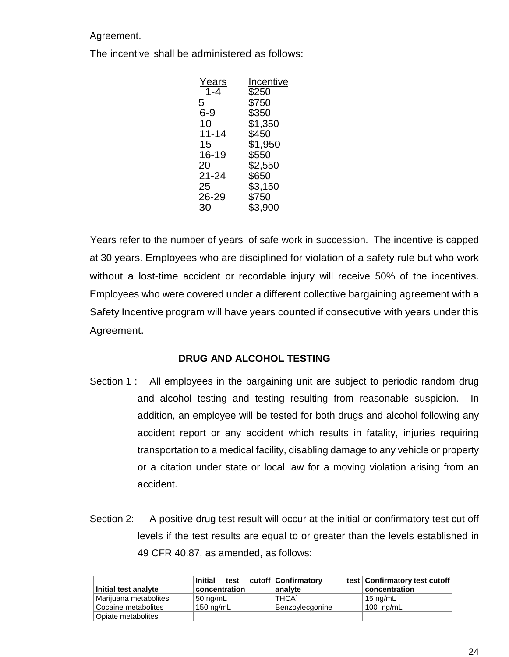Agreement.

The incentive shall be administered as follows:

| Y <u>ears</u> | Incentive |
|---------------|-----------|
| $1 - 4$       | \$250     |
| 5             | \$750     |
| $6 - 9$       | \$350     |
| 10            | \$1,350   |
| 11-14         | \$450     |
| 15            | \$1,950   |
| 16-19         | \$550     |
| 20            | \$2,550   |
| 21-24         | \$650     |
| 25            | \$3,150   |
| 26-29         | \$750     |
| 30            | \$3,900   |
|               |           |

Years refer to the number of years of safe work in succession. The incentive is capped at 30 years. Employees who are disciplined for violation of a safety rule but who work without a lost-time accident or recordable injury will receive 50% of the incentives. Employees who were covered under a different collective bargaining agreement with a Safety Incentive program will have years counted if consecutive with years under this Agreement.

## **DRUG AND ALCOHOL TESTING**

- Section 1 : All employees in the bargaining unit are subject to periodic random drug and alcohol testing and testing resulting from reasonable suspicion. In addition, an employee will be tested for both drugs and alcohol following any accident report or any accident which results in fatality, injuries requiring transportation to a medical facility, disabling damage to any vehicle or property or a citation under state or local law for a moving violation arising from an accident.
- Section 2: A positive drug test result will occur at the initial or confirmatory test cut off levels if the test results are equal to or greater than the levels established in 49 CFR 40.87, as amended, as follows:

|                                 | Initial<br>test     | cutoff   Confirmatory | test   Confirmatory test cutoff |
|---------------------------------|---------------------|-----------------------|---------------------------------|
| Initial test analyte            | concentration       | analyte               | concentration                   |
| Marijuana metabolites           | $150 \text{ nq/mL}$ | THCA <sup>1</sup>     | 15 $nq/mL$                      |
| Cocaine metabolites             | $150 \text{ ng/mL}$ | Benzoylecgonine       | 100 $ng/mL$                     |
| <sup>1</sup> Opiate metabolites |                     |                       |                                 |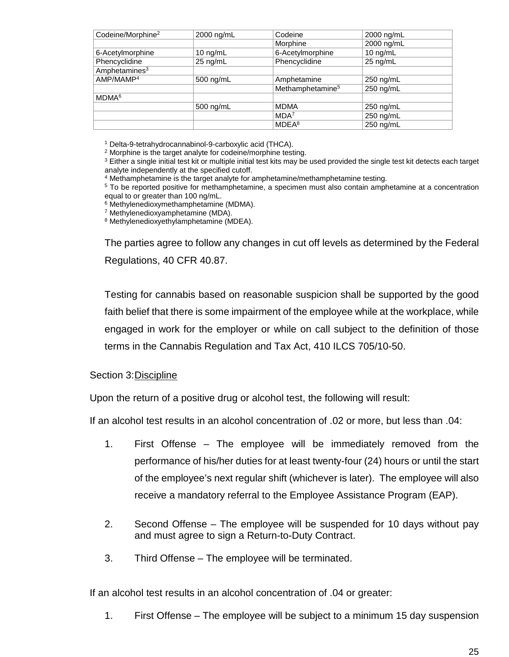| 2000 ng/mL         | Codeine                      | 2000 ng/mL         |
|--------------------|------------------------------|--------------------|
|                    | Morphine                     | 2000 ng/mL         |
| $10 \text{ nq/mL}$ | 6-Acetylmorphine             | $10 \text{ nq/mL}$ |
| 25 ng/mL           | Phencyclidine                | 25 ng/mL           |
|                    |                              |                    |
| 500 ng/mL          | Amphetamine                  | 250 ng/mL          |
|                    | Methamphetamine <sup>5</sup> | 250 ng/mL          |
|                    |                              |                    |
| 500 ng/mL          | <b>MDMA</b>                  | 250 ng/mL          |
|                    | MDA <sup>7</sup>             | 250 ng/mL          |
|                    | MDEA <sup>8</sup>            | 250 ng/mL          |
|                    |                              |                    |

<sup>1</sup> Delta-9-tetrahydrocannabinol-9-carboxylic acid (THCA).

<sup>2</sup> Morphine is the target analyte for codeine/morphine testing.

<sup>3</sup> Either a single initial test kit or multiple initial test kits may be used provided the single test kit detects each target analyte independently at the specified cutoff.

<sup>4</sup> Methamphetamine is the target analyte for amphetamine/methamphetamine testing.

<sup>5</sup> To be reported positive for methamphetamine, a specimen must also contain amphetamine at a concentration equal to or greater than 100 ng/mL.

<sup>6</sup> Methylenedioxymethamphetamine (MDMA).

<sup>7</sup> Methylenedioxyamphetamine (MDA).

<sup>8</sup> Methylenedioxyethylamphetamine (MDEA).

The parties agree to follow any changes in cut off levels as determined by the Federal Regulations, 40 CFR 40.87.

Testing for cannabis based on reasonable suspicion shall be supported by the good faith belief that there is some impairment of the employee while at the workplace, while engaged in work for the employer or while on call subject to the definition of those terms in the Cannabis Regulation and Tax Act, 410 ILCS 705/10-50.

Section 3:Discipline

Upon the return of a positive drug or alcohol test, the following will result:

If an alcohol test results in an alcohol concentration of .02 or more, but less than .04:

- 1. First Offense The employee will be immediately removed from the performance of his/her duties for at least twenty-four (24) hours or until the start of the employee's next regular shift (whichever is later). The employee will also receive a mandatory referral to the Employee Assistance Program (EAP).
- 2. Second Offense The employee will be suspended for 10 days without pay and must agree to sign a Return-to-Duty Contract.
- 3. Third Offense The employee will be terminated.

If an alcohol test results in an alcohol concentration of .04 or greater:

1. First Offense – The employee will be subject to a minimum 15 day suspension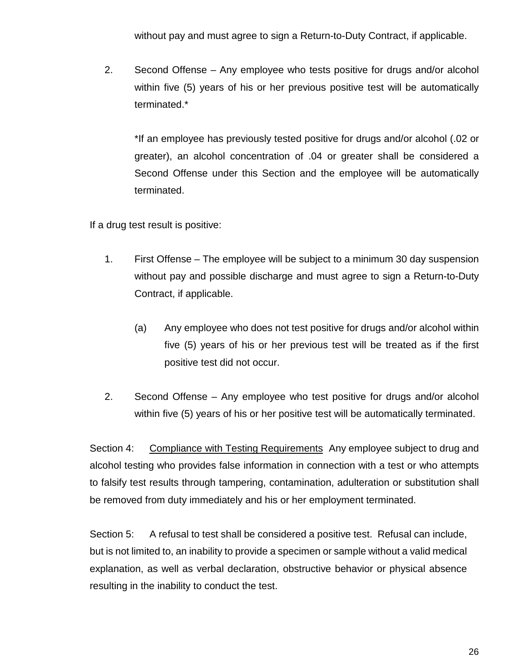without pay and must agree to sign a Return-to-Duty Contract, if applicable.

2. Second Offense – Any employee who tests positive for drugs and/or alcohol within five (5) years of his or her previous positive test will be automatically terminated.\*

\*If an employee has previously tested positive for drugs and/or alcohol (.02 or greater), an alcohol concentration of .04 or greater shall be considered a Second Offense under this Section and the employee will be automatically terminated.

If a drug test result is positive:

- 1. First Offense The employee will be subject to a minimum 30 day suspension without pay and possible discharge and must agree to sign a Return-to-Duty Contract, if applicable.
	- (a) Any employee who does not test positive for drugs and/or alcohol within five (5) years of his or her previous test will be treated as if the first positive test did not occur.
- 2. Second Offense Any employee who test positive for drugs and/or alcohol within five (5) years of his or her positive test will be automatically terminated.

Section 4: Compliance with Testing Requirements Any employee subject to drug and alcohol testing who provides false information in connection with a test or who attempts to falsify test results through tampering, contamination, adulteration or substitution shall be removed from duty immediately and his or her employment terminated.

Section 5: A refusal to test shall be considered a positive test. Refusal can include, but is not limited to, an inability to provide a specimen or sample without a valid medical explanation, as well as verbal declaration, obstructive behavior or physical absence resulting in the inability to conduct the test.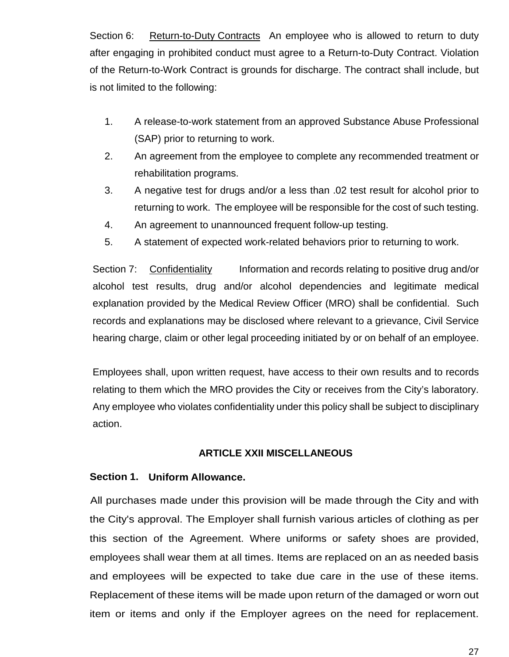Section 6: Return-to-Duty Contracts An employee who is allowed to return to duty after engaging in prohibited conduct must agree to a Return-to-Duty Contract. Violation of the Return-to-Work Contract is grounds for discharge. The contract shall include, but is not limited to the following:

- 1. A release-to-work statement from an approved Substance Abuse Professional (SAP) prior to returning to work.
- 2. An agreement from the employee to complete any recommended treatment or rehabilitation programs.
- 3. A negative test for drugs and/or a less than .02 test result for alcohol prior to returning to work. The employee will be responsible for the cost of such testing.
- 4. An agreement to unannounced frequent follow-up testing.
- 5. A statement of expected work-related behaviors prior to returning to work.

Section 7: Confidentiality Information and records relating to positive drug and/or alcohol test results, drug and/or alcohol dependencies and legitimate medical explanation provided by the Medical Review Officer (MRO) shall be confidential. Such records and explanations may be disclosed where relevant to a grievance, Civil Service hearing charge, claim or other legal proceeding initiated by or on behalf of an employee.

Employees shall, upon written request, have access to their own results and to records relating to them which the MRO provides the City or receives from the City's laboratory. Any employee who violates confidentiality under this policy shall be subject to disciplinary action.

## **ARTICLE XXII MISCELLANEOUS**

#### <span id="page-26-0"></span>**Section 1. Uniform Allowance.**

All purchases made under this provision will be made through the City and with the City's approval. The Employer shall furnish various articles of clothing as per this section of the Agreement. Where uniforms or safety shoes are provided, employees shall wear them at all times. Items are replaced on an as needed basis and employees will be expected to take due care in the use of these items. Replacement of these items will be made upon return of the damaged or worn out item or items and only if the Employer agrees on the need for replacement.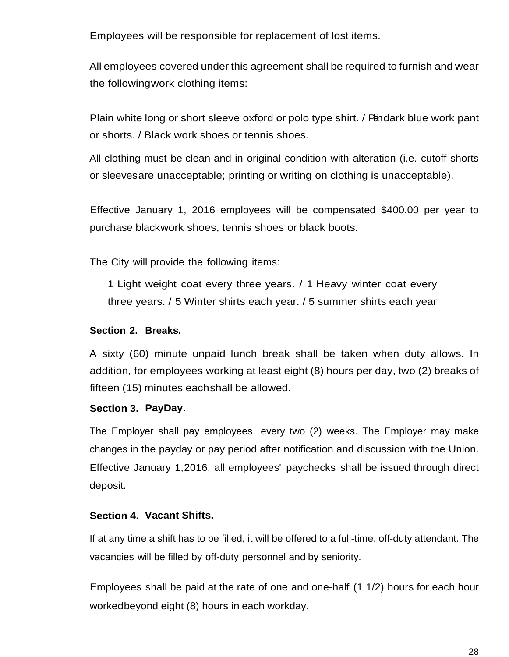Employees will be responsible for replacement of lost items.

All employees covered under this agreement shall be required to furnish and wear the followingwork clothing items:

Plain white long or short sleeve oxford or polo type shirt. / Pandark blue work pant or shorts. / Black work shoes or tennis shoes.

All clothing must be clean and in original condition with alteration (i.e. cutoff shorts or sleevesare unacceptable; printing or writing on clothing is unacceptable).

Effective January 1, 2016 employees will be compensated \$400.00 per year to purchase blackwork shoes, tennis shoes or black boots.

The City will provide the following items:

1 Light weight coat every three years. / 1 Heavy winter coat every three years. / 5 Winter shirts each year. / 5 summer shirts each year

#### **Section 2. Breaks.**

A sixty (60) minute unpaid lunch break shall be taken when duty allows. In addition, for employees working at least eight (8) hours per day, two (2) breaks of fifteen (15) minutes eachshall be allowed.

#### **Section 3. PayDay.**

The Employer shall pay employees every two (2) weeks. The Employer may make changes in the payday or pay period after notification and discussion with the Union. Effective January 1,2016, all employees' paychecks shall be issued through direct deposit.

#### **Section 4. Vacant Shifts.**

If at any time a shift has to be filled, it will be offered to a full-time, off-duty attendant. The vacancies will be filled by off-duty personnel and by seniority.

Employees shall be paid at the rate of one and one-half (1 1/2) hours for each hour workedbeyond eight (8) hours in each workday.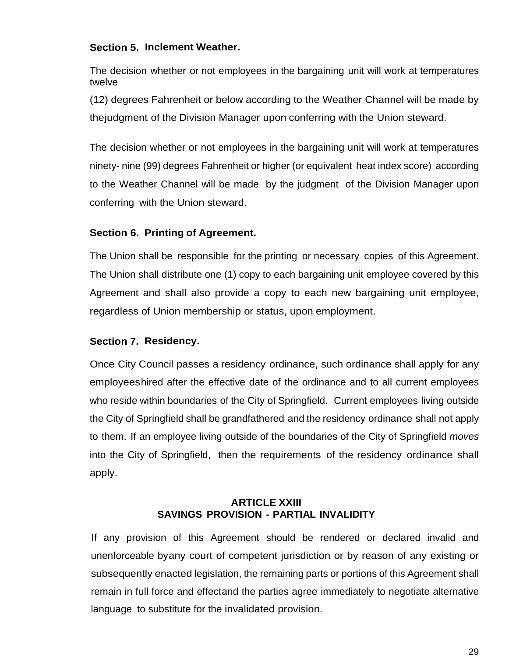## **Section 5. Inclement Weather.**

The decision whether or not employees in the bargaining unit will work at temperatures twelve

(12) degrees Fahrenheit or below according to the Weather Channel will be made by thejudgment of the Division Manager upon conferring with the Union steward.

The decision whether or not employees in the bargaining unit will work at temperatures ninety- nine (99) degrees Fahrenheit or higher (or equivalent heat index score) according to the Weather Channel will be made by the judgment of the Division Manager upon conferring with the Union steward.

## **Section 6. Printing of Agreement.**

The Union shall be responsible for the printing or necessary copies of this Agreement. The Union shall distribute one (1) copy to each bargaining unit employee covered by this Agreement and shall also provide a copy to each new bargaining unit employee, regardless of Union membership or status, upon employment.

## **Section 7. Residency.**

Once City Council passes a residency ordinance, such ordinance shall apply for any employeeshired after the effective date of the ordinance and to all current employees who reside within boundaries of the City of Springfield. Current employees living outside the City of Springfield shall be grandfathered and the residency ordinance shall not apply to them. If an employee living outside of the boundaries of the City of Springfield *moves* into the City of Springfield, then the requirements of the residency ordinance shall apply.

## **ARTICLE XXIII SAVINGS PROVISION - PARTIAL INVALIDITY**

<span id="page-28-0"></span>If any provision of this Agreement should be rendered or declared invalid and unenforceable byany court of competent jurisdiction or by reason of any existing or subsequently enacted legislation, the remaining parts or portions of this Agreement shall remain in full force and effectand the parties agree immediately to negotiate alternative language to substitute for the invalidated provision.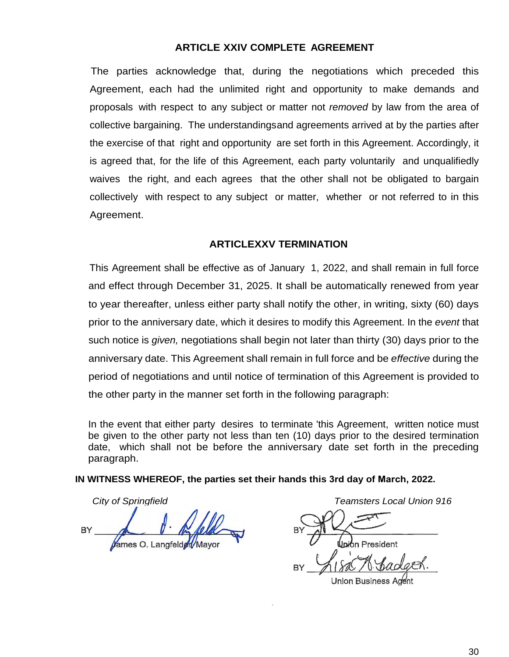#### **ARTICLE XXIV COMPLETE AGREEMENT**

<span id="page-29-0"></span>The parties acknowledge that, during the negotiations which preceded this Agreement, each had the unlimited right and opportunity to make demands and proposals with respect to any subject or matter not *removed* by law from the area of collective bargaining. The understandingsand agreements arrived at by the parties after the exercise of that right and opportunity are set forth in this Agreement. Accordingly, it is agreed that, for the life of this Agreement, each party voluntarily and unqualifiedly waives the right, and each agrees that the other shall not be obligated to bargain collectively with respect to any subject or matter, whether or not referred to in this Agreement.

#### **ARTICLEXXV TERMINATION**

<span id="page-29-1"></span>This Agreement shall be effective as of January 1, 2022, and shall remain in full force and effect through December 31, 2025. It shall be automatically renewed from year to year thereafter, unless either party shall notify the other, in writing, sixty (60) days prior to the anniversary date, which it desires to modify this Agreement. In the *event* that such notice is *given,* negotiations shall begin not later than thirty (30) days prior to the anniversary date. This Agreement shall remain in full force and be *effective* during the period of negotiations and until notice of termination of this Agreement is provided to the other party in the manner set forth in the following paragraph:

In the event that either party desires to terminate 'this Agreement, written notice must be given to the other party not less than ten (10) days prior to the desired termination date, which shall not be before the anniversary date set forth in the preceding paragraph.

#### **IN WITNESS WHEREOF, the parties set their hands this 3rd day of March, 2022.**

*City of Springfield Teamsters Local Union 916*BY Vames O. Langfelder/May

Jnion President

Union Business Agent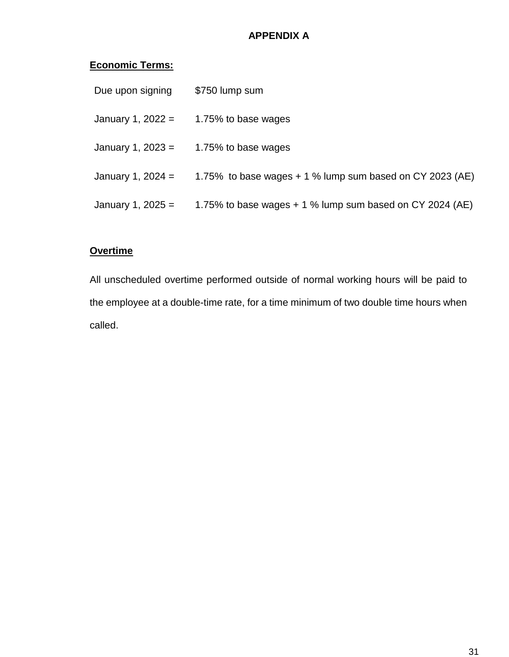# **APPENDIX A**

# <span id="page-30-0"></span>**Economic Terms:**

| Due upon signing    | \$750 lump sum                                             |
|---------------------|------------------------------------------------------------|
| January 1, $2022 =$ | 1.75% to base wages                                        |
| January 1, 2023 $=$ | 1.75% to base wages                                        |
| January 1, 2024 $=$ | 1.75% to base wages $+1$ % lump sum based on CY 2023 (AE)  |
| January 1, $2025 =$ | 1.75% to base wages $+$ 1 % lump sum based on CY 2024 (AE) |
|                     |                                                            |

# **Overtime**

All unscheduled overtime performed outside of normal working hours will be paid to the employee at a double-time rate, for a time minimum of two double time hours when called.